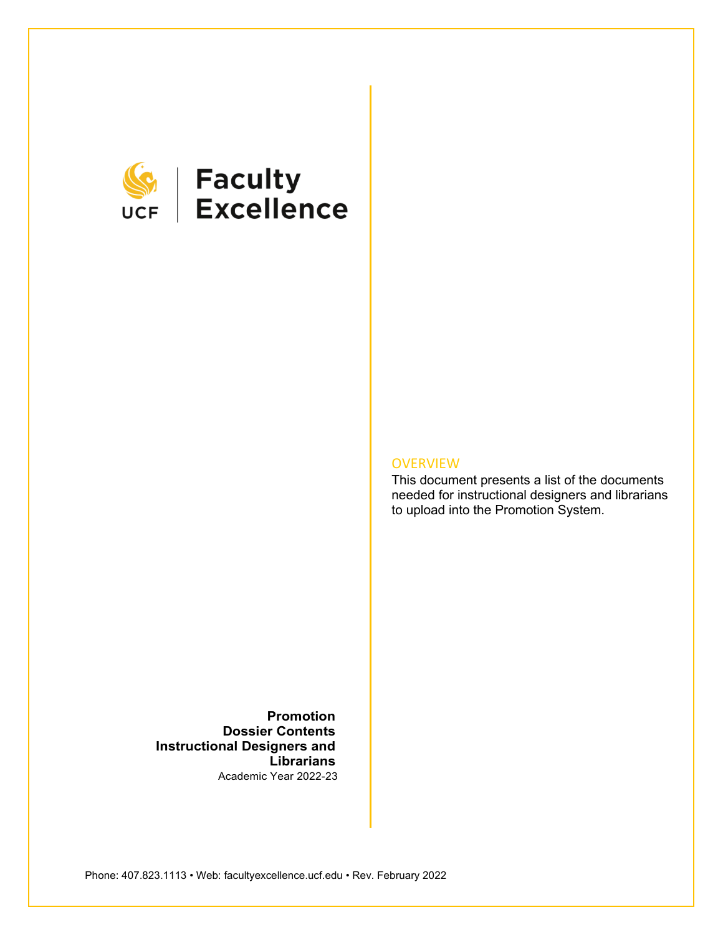

# **SEEP Faculty**<br>UCF Excellence

## **OVERVIEW**

This document presents a list of the documents needed for instructional designers and librarians to upload into the Promotion System.

**Promotion Dossier Contents Instructional Designers and Librarians** Academic Year 2022-23

Phone: 407.823.1113 • Web: facultyexcellence.ucf.edu • Rev. February 2022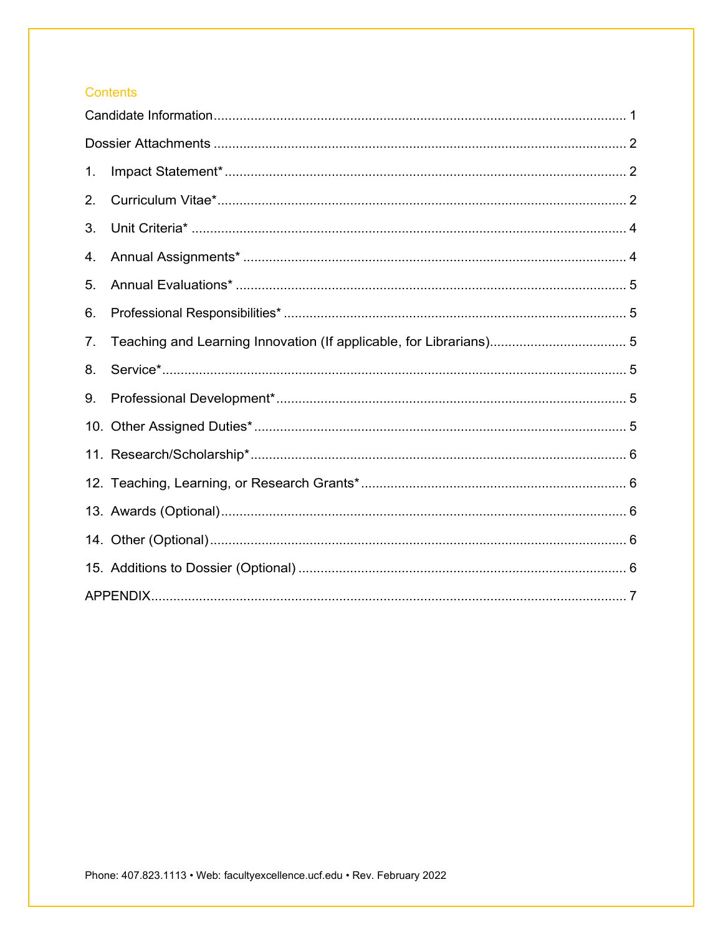# Contents

| 1. |  |  |  |  |
|----|--|--|--|--|
| 2. |  |  |  |  |
| 3. |  |  |  |  |
| 4. |  |  |  |  |
| 5. |  |  |  |  |
| 6. |  |  |  |  |
| 7. |  |  |  |  |
| 8. |  |  |  |  |
| 9. |  |  |  |  |
|    |  |  |  |  |
|    |  |  |  |  |
|    |  |  |  |  |
|    |  |  |  |  |
|    |  |  |  |  |
|    |  |  |  |  |
|    |  |  |  |  |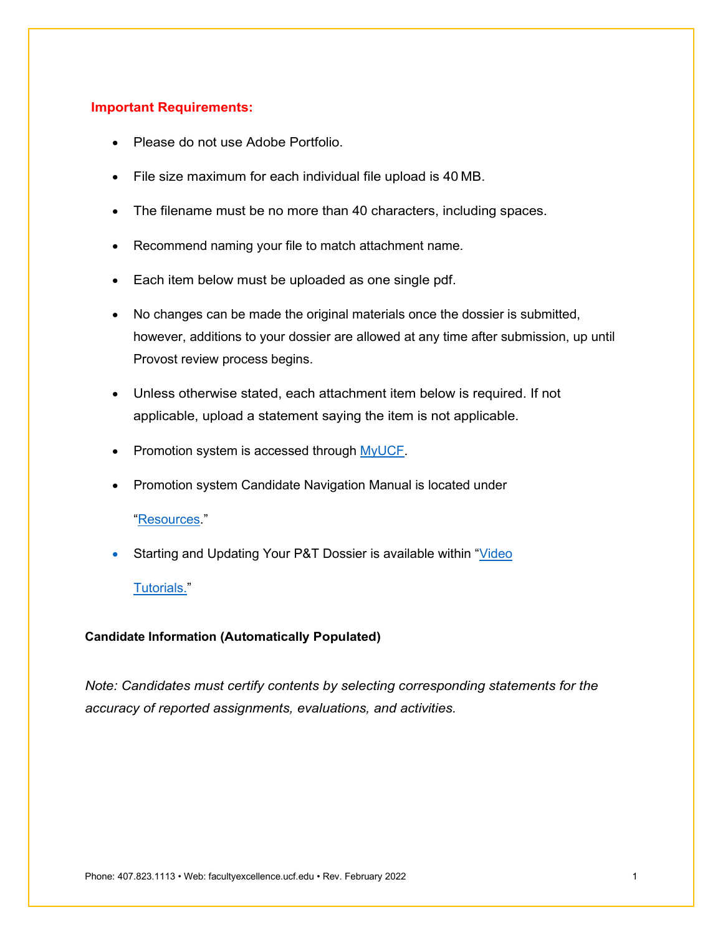## **Important Requirements:**

- Please do not use Adobe Portfolio.
- File size maximum for each individual file upload is 40 MB.
- The filename must be no more than 40 characters, including spaces.
- Recommend naming your file to match attachment name.
- Each item below must be uploaded as one single pdf.
- No changes can be made the original materials once the dossier is submitted, however, additions to your dossier are allowed at any time after submission, up until Provost review process begins.
- Unless otherwise stated, each attachment item below is required. If not applicable, upload a statement saying the item is not applicable.
- Promotion system is accessed through [MyUCF.](https://my.ucf.edu/?shib_logout=done)
- Promotion system Candidate Navigation Manual is located under

## ["Resources.](https://facultyexcellence.ucf.edu/promotion/)"

Starting and Updating Your P&T Dossier is available within ["Video](https://facultyexcellence.ucf.edu/promotion/)"

#### [Tutorials."](https://facultyexcellence.ucf.edu/promotion/)

## <span id="page-2-0"></span>**Candidate Information (Automatically Populated)**

*Note: Candidates must certify contents by selecting corresponding statements for the accuracy of reported assignments, evaluations, and activities.*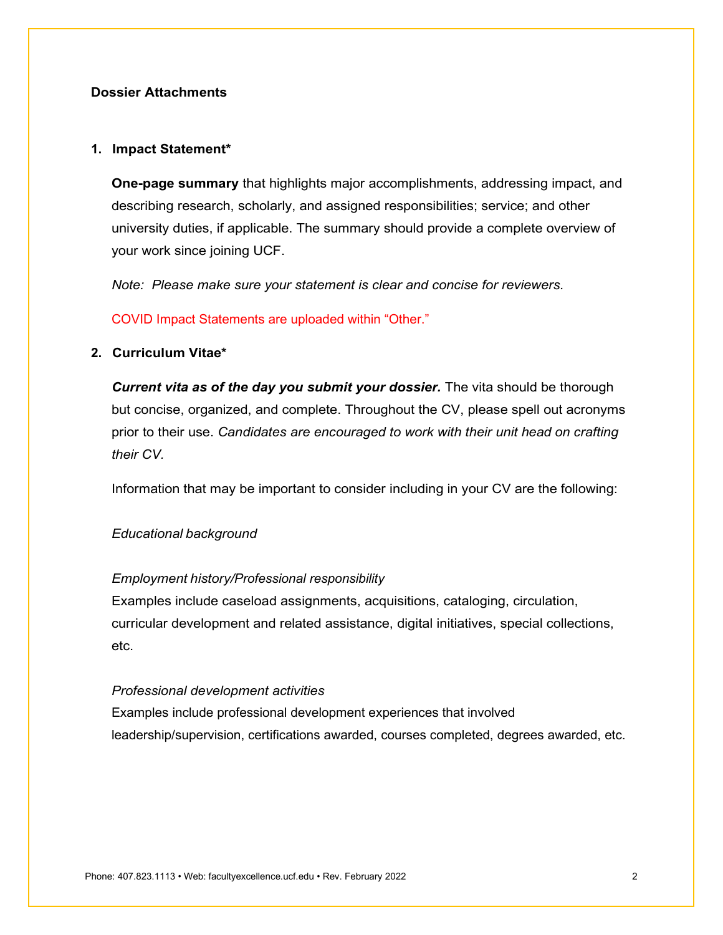# <span id="page-3-0"></span>**Dossier Attachments**

#### <span id="page-3-1"></span>**1. Impact Statement\***

**One-page summary** that highlights major accomplishments, addressing impact, and describing research, scholarly, and assigned responsibilities; service; and other university duties, if applicable. The summary should provide a complete overview of your work since joining UCF.

*Note: Please make sure your statement is clear and concise for reviewers.*

COVID Impact Statements are uploaded within "Other."

## <span id="page-3-2"></span>**2. Curriculum Vitae\***

**Current vita as of the day you submit your dossier.** The vita should be thorough but concise, organized, and complete. Throughout the CV, please spell out acronyms prior to their use. *Candidates are encouraged to work with their unit head on crafting their CV.*

Information that may be important to consider including in your CV are the following:

#### *Educational background*

#### *Employment history/Professional responsibility*

Examples include caseload assignments, acquisitions, cataloging, circulation, curricular development and related assistance, digital initiatives, special collections, etc.

# *Professional development activities*

Examples include professional development experiences that involved leadership/supervision, certifications awarded, courses completed, degrees awarded, etc.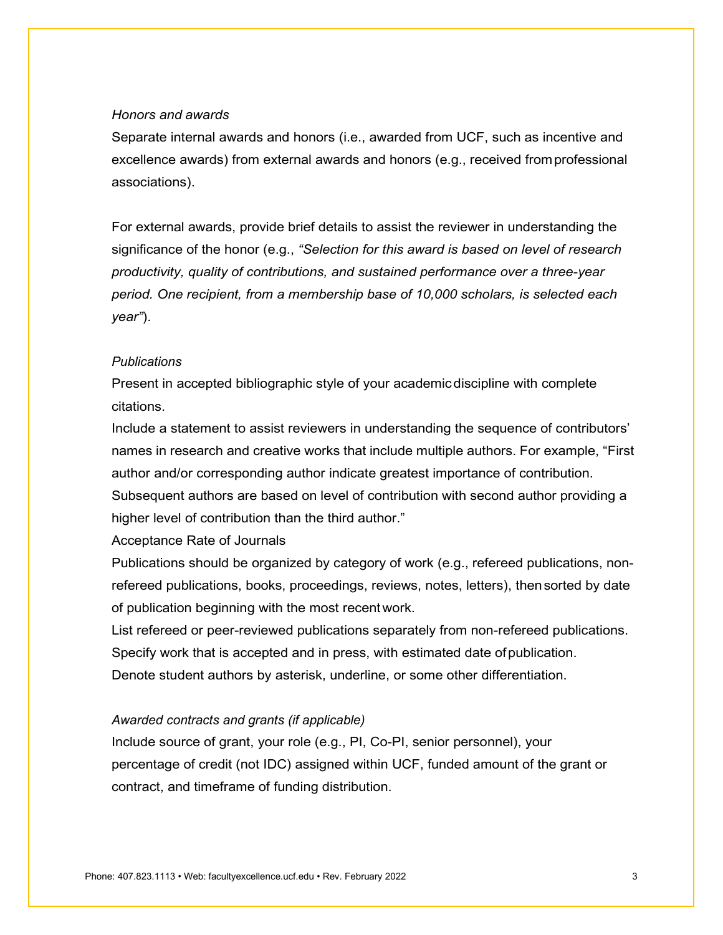#### *Honors and awards*

Separate internal awards and honors (i.e., awarded from UCF, such as incentive and excellence awards) from external awards and honors (e.g., received fromprofessional associations).

For external awards, provide brief details to assist the reviewer in understanding the significance of the honor (e.g., *"Selection for this award is based on level of research productivity, quality of contributions, and sustained performance over a three-year period. One recipient, from a membership base of 10,000 scholars, is selected each year"*).

#### *Publications*

Present in accepted bibliographic style of your academicdiscipline with complete citations.

Include a statement to assist reviewers in understanding the sequence of contributors' names in research and creative works that include multiple authors. For example, "First author and/or corresponding author indicate greatest importance of contribution. Subsequent authors are based on level of contribution with second author providing a higher level of contribution than the third author."

#### Acceptance Rate of Journals

Publications should be organized by category of work (e.g., refereed publications, nonrefereed publications, books, proceedings, reviews, notes, letters), thensorted by date of publication beginning with the most recentwork.

List refereed or peer-reviewed publications separately from non-refereed publications. Specify work that is accepted and in press, with estimated date ofpublication. Denote student authors by asterisk, underline, or some other differentiation.

## *Awarded contracts and grants (if applicable)*

Include source of grant, your role (e.g., PI, Co-PI, senior personnel), your percentage of credit (not IDC) assigned within UCF, funded amount of the grant or contract, and timeframe of funding distribution.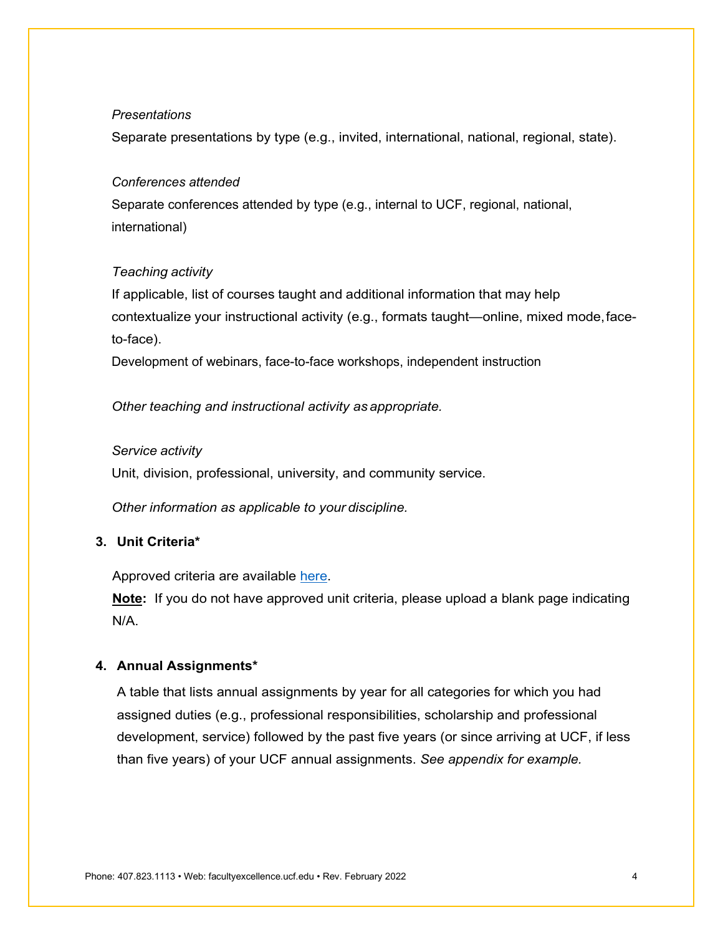#### *Presentations*

Separate presentations by type (e.g., invited, international, national, regional, state).

## *Conferences attended*

Separate conferences attended by type (e.g., internal to UCF, regional, national, international)

## *Teaching activity*

If applicable, list of courses taught and additional information that may help contextualize your instructional activity (e.g., formats taught—online, mixed mode,faceto-face).

Development of webinars, face-to-face workshops, independent instruction

*Other teaching and instructional activity as appropriate.*

#### *Service activity*

Unit, division, professional, university, and community service.

*Other information as applicable to your discipline.*

# <span id="page-5-0"></span>**3. Unit Criteria\***

Approved criteria are available [here.](https://facultyexcellence.ucf.edu/promotion/criteria/)

**Note:** If you do not have approved unit criteria, please upload a blank page indicating N/A.

#### <span id="page-5-1"></span>**4. Annual Assignments\***

A table that lists annual assignments by year for all categories for which you had assigned duties (e.g., professional responsibilities, scholarship and professional development, service) followed by the past five years (or since arriving at UCF, if less than five years) of your UCF annual assignments. *See appendix for example.*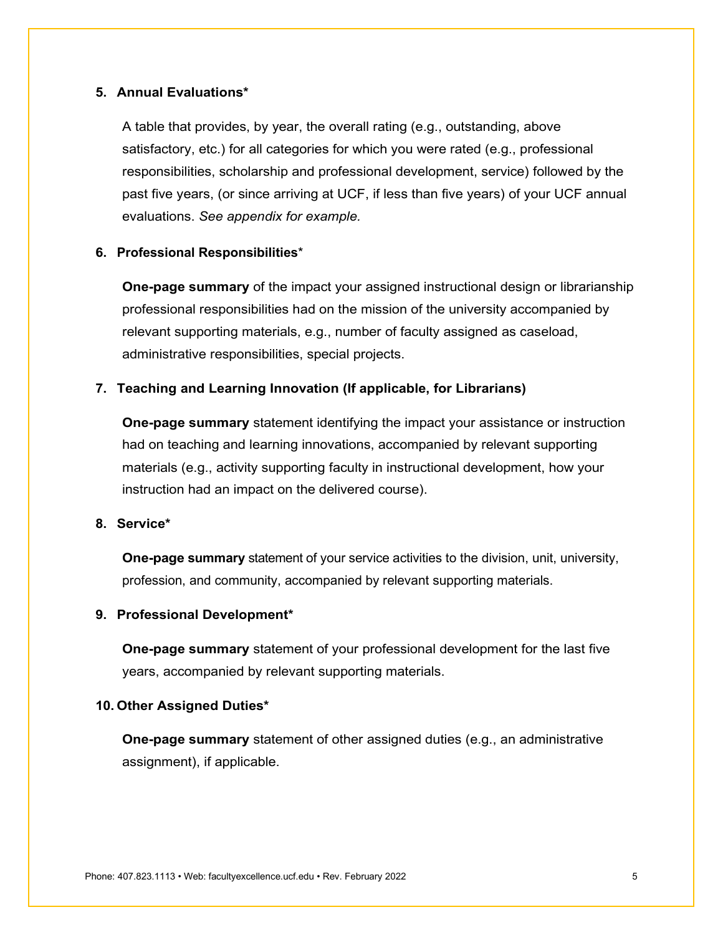## <span id="page-6-0"></span>**5. Annual Evaluations\***

A table that provides, by year, the overall rating (e.g., outstanding, above satisfactory, etc.) for all categories for which you were rated (e.g., professional responsibilities, scholarship and professional development, service) followed by the past five years, (or since arriving at UCF, if less than five years) of your UCF annual evaluations. *See appendix for example.*

## <span id="page-6-1"></span>**6. Professional Responsibilities**\*

**One-page summary** of the impact your assigned instructional design or librarianship professional responsibilities had on the mission of the university accompanied by relevant supporting materials, e.g., number of faculty assigned as caseload, administrative responsibilities, special projects.

## <span id="page-6-2"></span>**7. Teaching and Learning Innovation (If applicable, for Librarians)**

**One-page summary** statement identifying the impact your assistance or instruction had on teaching and learning innovations, accompanied by relevant supporting materials (e.g., activity supporting faculty in instructional development, how your instruction had an impact on the delivered course).

# <span id="page-6-3"></span>**8. Service\***

**One-page summary** statement of your service activities to the division, unit, university, profession, and community, accompanied by relevant supporting materials.

## <span id="page-6-4"></span>**9. Professional Development\***

**One-page summary** statement of your professional development for the last five years, accompanied by relevant supporting materials.

#### <span id="page-6-5"></span>**10. Other Assigned Duties\***

**One-page summary** statement of other assigned duties (e.g., an administrative assignment), if applicable.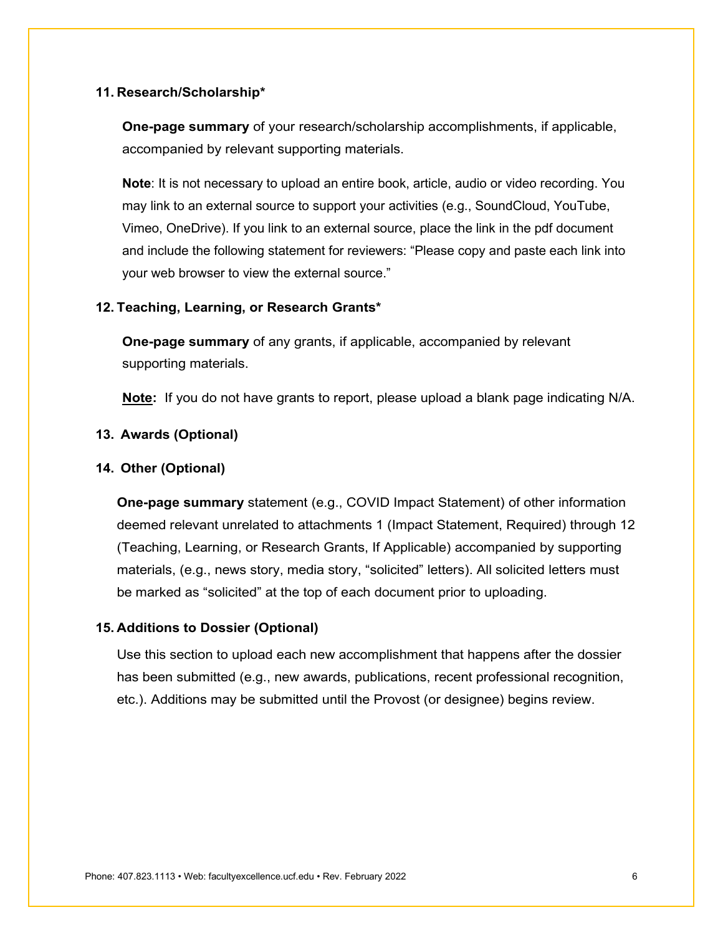#### <span id="page-7-0"></span>**11. Research/Scholarship\***

**One-page summary** of your research/scholarship accomplishments, if applicable, accompanied by relevant supporting materials.

**Note**: It is not necessary to upload an entire book, article, audio or video recording. You may link to an external source to support your activities (e.g., SoundCloud, YouTube, Vimeo, OneDrive). If you link to an external source, place the link in the pdf document and include the following statement for reviewers: "Please copy and paste each link into your web browser to view the external source."

## <span id="page-7-1"></span>**12. Teaching, Learning, or Research Grants\***

**One-page summary** of any grants, if applicable, accompanied by relevant supporting materials.

**Note:** If you do not have grants to report, please upload a blank page indicating N/A.

## <span id="page-7-2"></span>**13. Awards (Optional)**

#### <span id="page-7-3"></span>**14. Other (Optional)**

**One-page summary** statement (e.g., COVID Impact Statement) of other information deemed relevant unrelated to attachments 1 (Impact Statement, Required) through 12 (Teaching, Learning, or Research Grants, If Applicable) accompanied by supporting materials, (e.g., news story, media story, "solicited" letters). All solicited letters must be marked as "solicited" at the top of each document prior to uploading.

#### <span id="page-7-4"></span>**15. Additions to Dossier (Optional)**

Use this section to upload each new accomplishment that happens after the dossier has been submitted (e.g., new awards, publications, recent professional recognition, etc.). Additions may be submitted until the Provost (or designee) begins review.